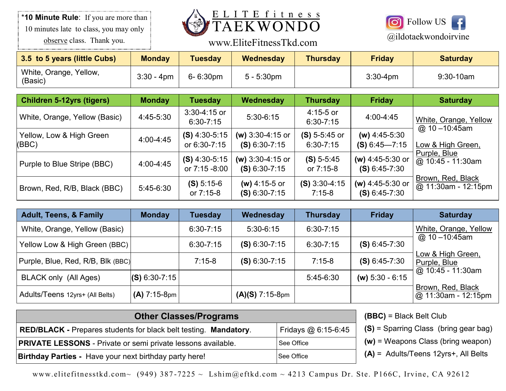\***10 Minute Rule**: If you are more than 10 minutes late to class, you may only observe class. Thank you.



# www.EliteFitnessTkd.com @ildotaekwondoirvine



| 3.5 to 5 years (little Cubs)      | <b>Monday</b> | Tuesdav       | Wednesday     | <b>Thursday</b> | <b>Friday</b> | <b>Saturday</b> |
|-----------------------------------|---------------|---------------|---------------|-----------------|---------------|-----------------|
| White, Orange, Yellow,<br>(Basic) | $3:30 - 4pm$  | $6 - 6:30$ pm | $5 - 5:30$ pm |                 | $3:30-4$ pm   | $9:30-10am$     |

| <b>Children 5-12yrs (tigers)</b>  | <b>Monday</b> | <b>Tuesday</b>                   | Wednesday                             | <b>Thursday</b>                  | <b>Friday</b>                         | <b>Saturday</b>                            |
|-----------------------------------|---------------|----------------------------------|---------------------------------------|----------------------------------|---------------------------------------|--------------------------------------------|
| White, Orange, Yellow (Basic)     | 4:45-5:30     | 3:30-4:15 or<br>$6:30 - 7:15$    | $5:30-6:15$                           | $4:15 - 5$ or<br>$6:30 - 7:15$   | $4:00 - 4:45$                         | White, Orange, Yellow<br>@ $10 - 10:45$ am |
| Yellow, Low & High Green<br>(BBC) | 4:00-4:45     | $(S)$ 4:30-5:15<br>or 6:30-7:15  | (w) $3:30-4:15$ or<br>$(S) 6:30-7:15$ | $(S)$ 5-5:45 or<br>$6:30 - 7:15$ | (w) $4:45-5:30$<br>$(S) 6:45 - 7:15$  | Low & High Green,                          |
| Purple to Blue Stripe (BBC)       | 4:00-4:45     | $(S)$ 4:30-5:15<br>or 7:15 -8:00 | (w) $3:30-4:15$ or<br>$(S) 6:30-7:15$ | $(S) 5 - 5:45$<br>or 7:15-8      | (w) $4:45-5:30$ or<br>$(S) 6:45-7:30$ | Purple, Blue<br>$@10:45 - 11:30am$         |
| Brown, Red, R/B, Black (BBC)      | $5:45-6:30$   | $(S) 5:15-6$<br>or 7:15-8        | (w) 4:15-5 or<br>$(S) 6:30-7:15$      | $(S)$ 3:30-4:15<br>$7:15-8$      | (w) $4:45-5:30$ or<br>$(S) 6:45-7:30$ | Brown, Red, Black<br>@ 11:30am - 12:15pm   |

| Adult, Teens, & Family            | <b>Monday</b>   | <b>Tuesday</b> | Wednesday         | <b>Thursday</b> | <b>Friday</b>     | <b>Saturday</b>                             |
|-----------------------------------|-----------------|----------------|-------------------|-----------------|-------------------|---------------------------------------------|
| White, Orange, Yellow (Basic)     |                 | $6:30 - 7:15$  | $5:30-6:15$       | $6:30 - 7:15$   |                   | White, Orange, Yellow                       |
| Yellow Low & High Green (BBC)     |                 | $6:30 - 7:15$  | $(S) 6:30-7:15$   | $6:30 - 7:15$   | $(S) 6:45-7:30$   | @ 10-10:45am                                |
| Purple, Blue, Red, R/B, Blk (BBC) |                 | $7:15-8$       | $(S) 6:30-7:15$   | $7:15-8$        | $(S) 6:45-7:30$   | Low & High Green,<br>Purple, Blue           |
| <b>BLACK only (All Ages)</b>      | $(S) 6:30-7:15$ |                |                   | $5:45-6:30$     | (w) $5:30 - 6:15$ | $\varphi$ 10:45 - 11:30am                   |
| Adults/Teens 12yrs+ (All Belts)   | $(A)$ 7:15-8pm  |                | $(A)(S)$ 7:15-8pm |                 |                   | Brown, Red, Black<br>$ @$ 11:30am - 12:15pm |

| <b>Other Classes/Programs</b>                                           |                      |         |  |  |
|-------------------------------------------------------------------------|----------------------|---------|--|--|
| <b>RED/BLACK - Prepares students for black belt testing. Mandatory.</b> | Fridays $@6:15-6:45$ | $(S) =$ |  |  |
| <b>PRIVATE LESSONS - Private or semi private lessons available.</b>     | See Office           | $(w) =$ |  |  |
| <b>Birthday Parties - Have your next birthday party here!</b>           | See Office           | $(A) =$ |  |  |

**(BBC)** = Black Belt Club

Sparring Class (bring gear bag)

**Weapons Class (bring weapon)** 

**(A)** = Adults/Teens 12yrs+, All Belts

www.elitefitnesstkd.com~ (949) 387-7225 ~ Lshim@eftkd.com ~ 4213 Campus Dr. Ste. P166C, Irvine, CA 92612